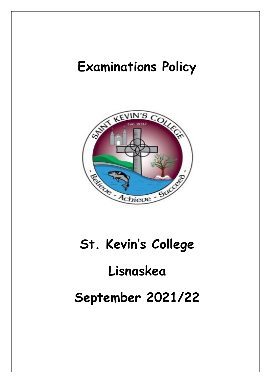# **Examinations Policy**



# **St. Kevin's College**

# **Lisnaskea**

# **September 2021/22**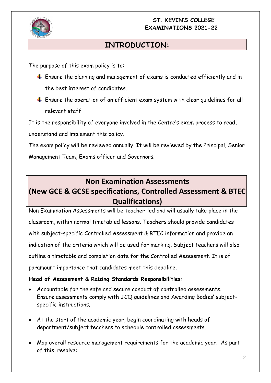

# **INTRODUCTION:**

The purpose of this exam policy is to:

- $\ddot{+}$  Ensure the planning and management of exams is conducted efficiently and in the best interest of candidates.
- $\ddot{+}$  Ensure the operation of an efficient exam system with clear quidelines for all relevant staff.

It is the responsibility of everyone involved in the Centre's exam process to read, understand and implement this policy.

The exam policy will be reviewed annually. It will be reviewed by the Principal, Senior Management Team, Exams officer and Governors.

# **Non Examination Assessments (New GCE & GCSE specifications, Controlled Assessment & BTEC Qualifications)**

Non Examination Assessments will be teacher-led and will usually take place in the classroom, within normal timetabled lessons. Teachers should provide candidates with subject-specific Controlled Assessment & BTEC information and provide an indication of the criteria which will be used for marking. Subject teachers will also outline a timetable and completion date for the Controlled Assessment. It is of paramount importance that candidates meet this deadline.

# **Head of Assessment & Raising Standards Responsibilities:**

- Accountable for the safe and secure conduct of controlled assessments. Ensure assessments comply with JCQ guidelines and Awarding Bodies' subjectspecific instructions.
- At the start of the academic year, begin coordinating with heads of department/subject teachers to schedule controlled assessments.
- Map overall resource management requirements for the academic year. As part of this, resolve: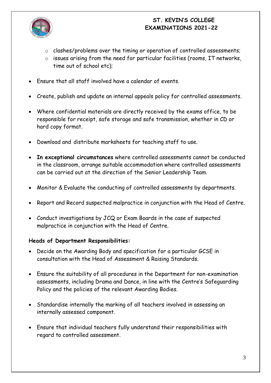

- o clashes/problems over the timing or operation of controlled assessments;
- o issues arising from the need for particular facilities (rooms, IT networks, time out of school etc);
- Ensure that all staff involved have a calendar of events.
- Create, publish and update an internal appeals policy for controlled assessments.
- Where confidential materials are directly received by the exams office, to be responsible for receipt, safe storage and safe transmission, whether in CD or hard copy format.
- Download and distribute marksheets for teaching staff to use.
- **In exceptional circumstances** where controlled assessments cannot be conducted in the classroom, arrange suitable accommodation where controlled assessments can be carried out at the direction of the Senior Leadership Team.
- Monitor & Evaluate the conducting of controlled assessments by departments.
- Report and Record suspected malpractice in conjunction with the Head of Centre.
- Conduct investigations by JCQ or Exam Boards in the case of suspected malpractice in conjunction with the Head of Centre.

# **Heads of Department Responsibilities:**

- Decide on the Awarding Body and specification for a particular GCSE in consultation with the Head of Assessment & Raising Standards.
- Ensure the suitability of all procedures in the Department for non-examination assessments, including Drama and Dance, in line with the Centre's Safeguarding Policy and the policies of the relevant Awarding Bodies.
- Standardise internally the marking of all teachers involved in assessing an internally assessed component.
- Ensure that individual teachers fully understand their responsibilities with regard to controlled assessment.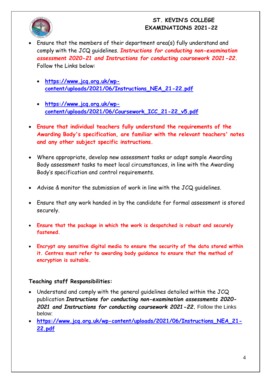

- Ensure that the members of their department area(s) fully understand and comply with the JCQ guidelines. *Instructions for conducting non-examination assessment 2020-21 and Instructions for conducting coursework 2021-22.*  Follow the Links below:
	- **[https://www.jcq.org.uk/wp](https://www.jcq.org.uk/wp-content/uploads/2021/06/Instructions_NEA_21-22.pdf)[content/uploads/2021/06/Instructions\\_NEA\\_21-22.pdf](https://www.jcq.org.uk/wp-content/uploads/2021/06/Instructions_NEA_21-22.pdf)**
	- **[https://www.jcq.org.uk/wp](https://www.jcq.org.uk/wp-content/uploads/2021/06/Coursework_ICC_21-22_v5.pdf)[content/uploads/2021/06/Coursework\\_ICC\\_21-22\\_v5.pdf](https://www.jcq.org.uk/wp-content/uploads/2021/06/Coursework_ICC_21-22_v5.pdf)**
- **Ensure that individual teachers fully understand the requirements of the Awarding Body's specification, are familiar with the relevant teachers' notes and any other subject specific instructions.**
- Where appropriate, develop new assessment tasks or adapt sample Awarding Body assessment tasks to meet local circumstances, in line with the Awarding Body's specification and control requirements.
- Advise & monitor the submission of work in line with the JCQ guidelines.
- Ensure that any work handed in by the candidate for formal assessment is stored securely.
- **Ensure that the package in which the work is despatched is robust and securely fastened.**
- **Encrypt any sensitive digital media to ensure the security of the data stored within it. Centres must refer to awarding body guidance to ensure that the method of encryption is suitable.**

# **Teaching staff Responsibilities:**

- Understand and comply with the general guidelines detailed within the JCQ publication *Instructions for conducting non-examination assessments 2020- 2021 and Instructions for conducting coursework 2021-22.* Follow the Links below:
- **[https://www.jcq.org.uk/wp-content/uploads/2021/06/Instructions\\_NEA\\_21-](https://www.jcq.org.uk/wp-content/uploads/2021/06/Instructions_NEA_21-22.pdf) [22.pdf](https://www.jcq.org.uk/wp-content/uploads/2021/06/Instructions_NEA_21-22.pdf)**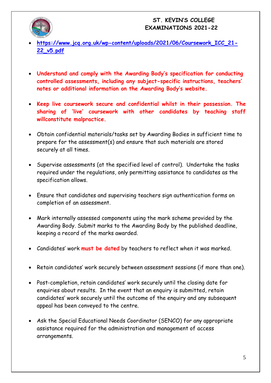

- **[https://www.jcq.org.uk/wp-content/uploads/2021/06/Coursework\\_ICC\\_21-](https://www.jcq.org.uk/wp-content/uploads/2021/06/Coursework_ICC_21-22_v5.pdf) [22\\_v5.pdf](https://www.jcq.org.uk/wp-content/uploads/2021/06/Coursework_ICC_21-22_v5.pdf)**
- **Understand and comply with the Awarding Body's specification for conducting controlled assessments, including any subject-specific instructions, teachers' notes or additional information on the Awarding Body's website.**
- **Keep live coursework secure and confidential whilst in their possession. The sharing of 'live' coursework with other candidates by teaching staff willconstitute malpractice.**
- Obtain confidential materials/tasks set by Awarding Bodies in sufficient time to prepare for the assessment(s) and ensure that such materials are stored securely at all times.
- Supervise assessments (at the specified level of control). Undertake the tasks required under the regulations, only permitting assistance to candidates as the specification allows.
- Ensure that candidates and supervising teachers sign authentication forms on completion of an assessment.
- Mark internally assessed components using the mark scheme provided by the Awarding Body. Submit marks to the Awarding Body by the published deadline, keeping a record of the marks awarded.
- Candidates' work **must be dated** by teachers to reflect when it was marked.
- Retain candidates' work securely between assessment sessions (if more than one).
- Post-completion, retain candidates' work securely until the closing date for enquiries about results. In the event that an enquiry is submitted, retain candidates' work securely until the outcome of the enquiry and any subsequent appeal has been conveyed to the centre.
- Ask the Special Educational Needs Coordinator (SENCO) for any appropriate assistance required for the administration and management of access arrangements.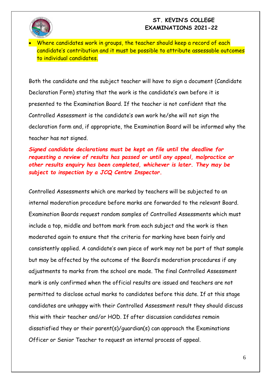Where candidates work in groups, the teacher should keep a record of each candidate's contribution and it must be possible to attribute assessable outcomes to individual candidates.

Both the candidate and the subject teacher will have to sign a document (Candidate Declaration Form) stating that the work is the candidate's own before it is presented to the Examination Board. If the teacher is not confident that the Controlled Assessment is the candidate's own work he/she will not sign the declaration form and, if appropriate, the Examination Board will be informed why the teacher has not signed.

*Signed candidate declarations must be kept on file until the deadline for requesting a review of results has passed or until any appeal, malpractice or other results enquiry has been completed, whichever is later. They may be subject to inspection by a JCQ Centre Inspector***.** 

Controlled Assessments which are marked by teachers will be subjected to an internal moderation procedure before marks are forwarded to the relevant Board. Examination Boards request random samples of Controlled Assessments which must include a top, middle and bottom mark from each subject and the work is then moderated again to ensure that the criteria for marking have been fairly and consistently applied. A candidate's own piece of work may not be part of that sample but may be affected by the outcome of the Board's moderation procedures if any adjustments to marks from the school are made. The final Controlled Assessment mark is only confirmed when the official results are issued and teachers are not permitted to disclose actual marks to candidates before this date. If at this stage candidates are unhappy with their Controlled Assessment result they should discuss this with their teacher and/or HOD. If after discussion candidates remain dissatisfied they or their parent(s)/guardian(s) can approach the Examinations Officer or Senior Teacher to request an internal process of appeal.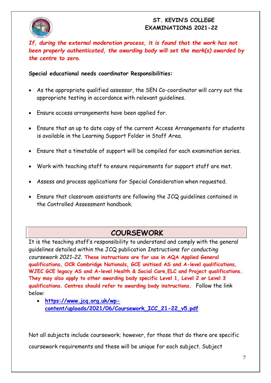

*If, during the external moderation process, it is found that the work has not been properly authenticated, the awarding body will set the mark(s) awarded by the centre to zero***.**

**Special educational needs coordinator Responsibilities:**

- As the appropriate qualified assessor, the SEN Co-coordinator will carry out the appropriate testing in accordance with relevant guidelines.
- Ensure access arrangements have been applied for.
- Ensure that an up to date copy of the current Access Arrangements for students is available in the Learning Support Folder in Staff Area.
- Ensure that a timetable of support will be compiled for each examination series.
- Work with teaching staff to ensure requirements for support staff are met.
- Assess and process applications for Special Consideration when requested.
- Ensure that classroom assistants are following the JCQ guidelines contained in the Controlled Assessment handbook.

# **COURSEWORK**

It is the teaching staff's responsibility to understand and comply with the general guidelines detailed within the JCQ publication *Instructions for conducting coursework 2021-22.* **These instructions are for use in AQA Applied General qualifications, OCR Cambridge Nationals, GCE unitised AS and A-level qualifications, WJEC GCE legacy AS and A-level Health & Social Care,ELC and Project qualifications. They may also apply to other awarding body specific Level 1, Level 2 or Level 3 qualifications. Centres should refer to awarding body instructions.** Follow the link below:

 **[https://www.jcq.org.uk/wp](https://www.jcq.org.uk/wp-content/uploads/2021/06/Coursework_ICC_21-22_v5.pdf)[content/uploads/2021/06/Coursework\\_ICC\\_21-22\\_v5.pdf](https://www.jcq.org.uk/wp-content/uploads/2021/06/Coursework_ICC_21-22_v5.pdf)**

Not all subjects include coursework; however, for those that do there are specific coursework requirements and these will be unique for each subject. Subject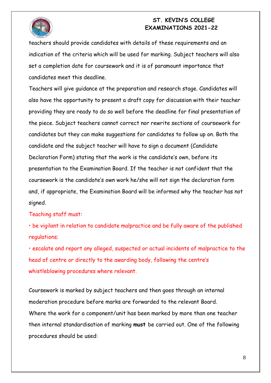

teachers should provide candidates with details of these requirements and an indication of the criteria which will be used for marking. Subject teachers will also set a completion date for coursework and it is of paramount importance that candidates meet this deadline.

Teachers will give guidance at the preparation and research stage. Candidates will also have the opportunity to present a draft copy for discussion with their teacher providing they are ready to do so well before the deadline for final presentation of the piece. Subject teachers cannot correct nor rewrite sections of coursework for candidates but they can make suggestions for candidates to follow up on. Both the candidate and the subject teacher will have to sign a document (Candidate Declaration Form) stating that the work is the candidate's own, before its presentation to the Examination Board. If the teacher is not confident that the coursework is the candidate's own work he/she will not sign the declaration form and, if appropriate, the Examination Board will be informed why the teacher has not signed.

#### Teaching staff must:

• be vigilant in relation to candidate malpractice and be fully aware of the published regulations;

• escalate and report any alleged, suspected or actual incidents of malpractice to the head of centre or directly to the awarding body, following the centre's whistleblowing procedures where relevant.

Coursework is marked by subject teachers and then goes through an internal moderation procedure before marks are forwarded to the relevant Board. Where the work for a component/unit has been marked by more than one teacher then internal standardisation of marking **must** be carried out. One of the following procedures should be used: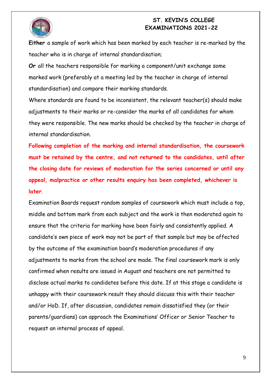

**Either** a sample of work which has been marked by each teacher is re-marked by the teacher who is in charge of internal standardisation;

**Or** all the teachers responsible for marking a component/unit exchange some marked work (preferably at a meeting led by the teacher in charge of internal standardisation) and compare their marking standards.

Where standards are found to be inconsistent, the relevant teacher(s) should make adjustments to their marks or re-consider the marks of all candidates for whom they were responsible. The new marks should be checked by the teacher in charge of internal standardisation.

**Following completion of the marking and internal standardisation, the coursework must be retained by the centre, and not returned to the candidates, until after the closing date for reviews of moderation for the series concerned or until any appeal, malpractice or other results enquiry has been completed, whichever is later**.

Examination Boards request random samples of coursework which must include a top, middle and bottom mark from each subject and the work is then moderated again to ensure that the criteria for marking have been fairly and consistently applied. A candidate's own piece of work may not be part of that sample but may be affected by the outcome of the examination board's moderation procedures if any adjustments to marks from the school are made. The final coursework mark is only confirmed when results are issued in August and teachers are not permitted to disclose actual marks to candidates before this date. If at this stage a candidate is unhappy with their coursework result they should discuss this with their teacher and/or HoD. If, after discussion, candidates remain dissatisfied they (or their parents/guardians) can approach the Examinations' Officer or Senior Teacher to request an internal process of appeal.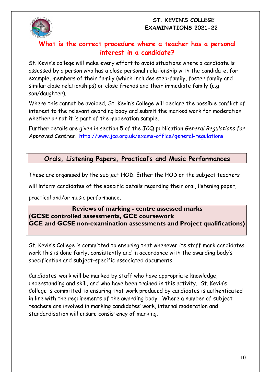

# **What is the correct procedure where a teacher has a personal interest in a candidate?**

St. Kevin's college will make every effort to avoid situations where a candidate is assessed by a person who has a close personal relationship with the candidate, for example, members of their family (which includes step-family, foster family and similar close relationships) or close friends and their immediate family (e.g son/daughter).

Where this cannot be avoided, St. Kevin's College will declare the possible conflict of interest to the relevant awarding body and submit the marked work for moderation whether or not it is part of the moderation sample.

Further details are given in section 5 of the JCQ publication *General Regulations for Approved Centres*. <http://www.jcq.org.uk/exams-office/general-regulations>

# **Orals, Listening Papers, Practical's and Music Performances**

These are organised by the subject HOD. Either the HOD or the subject teachers

will inform candidates of the specific details regarding their oral, listening paper,

practical and/or music performance.

# **Reviews of marking - centre assessed marks (GCSE controlled assessments, GCE coursework GCE and GCSE non-examination assessments and Project qualifications)**

St. Kevin's College is committed to ensuring that whenever its staff mark candidates' work this is done fairly, consistently and in accordance with the awarding body's specification and subject-specific associated documents.

Candidates' work will be marked by staff who have appropriate knowledge, understanding and skill, and who have been trained in this activity. St. Kevin's College is committed to ensuring that work produced by candidates is authenticated in line with the requirements of the awarding body. Where a number of subject teachers are involved in marking candidates' work, internal moderation and standardisation will ensure consistency of marking.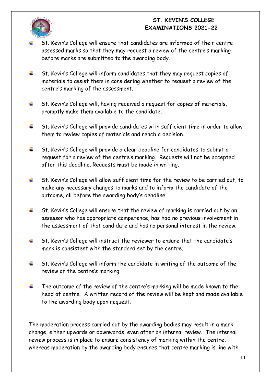

- St. Kevin's College will ensure that candidates are informed of their centre assessed marks so that they may request a review of the centre's marking before marks are submitted to the awarding body.
- St. Kevin's College will inform candidates that they may request copies of ÷ materials to assist them in considering whether to request a review of the centre's marking of the assessment.
- ÷ St. Kevin's College will, having received a request for copies of materials, promptly make them available to the candidate.
- ÷ St. Kevin's College will provide candidates with sufficient time in order to allow them to review copies of materials and reach a decision.
- ₩. St. Kevin's College will provide a clear deadline for candidates to submit a request for a review of the centre's marking. Requests will not be accepted after this deadline. Requests **must** be made in writing.
- St. Kevin's College will allow sufficient time for the review to be carried out, to ÷ make any necessary changes to marks and to inform the candidate of the outcome, all before the awarding body's deadline.
- 4. St. Kevin's College will ensure that the review of marking is carried out by an assessor who has appropriate competence, has had no previous involvement in the assessment of that candidate and has no personal interest in the review.
- ÷ St. Kevin's College will instruct the reviewer to ensure that the candidate's mark is consistent with the standard set by the centre.
- St. Kevin's College will inform the candidate in writing of the outcome of the ÷ review of the centre's marking.
- The outcome of the review of the centre's marking will be made known to the ÷ head of centre. A written record of the review will be kept and made available to the awarding body upon request.

The moderation process carried out by the awarding bodies may result in a mark change, either upwards or downwards, even after an internal review. The internal review process is in place to ensure consistency of marking within the centre, whereas moderation by the awarding body ensures that centre marking is line with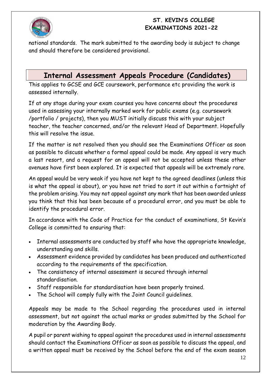

national standards. The mark submitted to the awarding body is subject to change and should therefore be considered provisional.

# **Internal Assessment Appeals Procedure (Candidates)**

This applies to GCSE and GCE coursework, performance etc providing the work is assessed internally.

If at any stage during your exam courses you have concerns about the procedures used in assessing your internally marked work for public exams (e.g. coursework /portfolio / projects), then you MUST initially discuss this with your subject teacher, the teacher concerned, and/or the relevant Head of Department. Hopefully this will resolve the issue.

If the matter is not resolved then you should see the Examinations Officer as soon as possible to discuss whether a formal appeal could be made. Any appeal is very much a last resort, and a request for an appeal will not be accepted unless these other avenues have first been explored. It is expected that appeals will be extremely rare.

An appeal would be very weak if you have not kept to the agreed deadlines (unless this is what the appeal is about), or you have not tried to sort it out within a fortnight of the problem arising. You may not appeal against any mark that has been awarded unless you think that this has been because of a procedural error, and you must be able to identify the procedural error.

In accordance with the Code of Practice for the conduct of examinations, St Kevin's College is committed to ensuring that:

- Internal assessments are conducted by staff who have the appropriate knowledge, understanding and skills.
- Assessment evidence provided by candidates has been produced and authenticated according to the requirements of the specification.
- The consistency of internal assessment is secured through internal standardisation.
- Staff responsible for standardisation have been properly trained.
- The School will comply fully with the Joint Council guidelines.

Appeals may be made to the School regarding the procedures used in internal assessment, but not against the actual marks or grades submitted by the School for moderation by the Awarding Body.

A pupil or parent wishing to appeal against the procedures used in internal assessments should contact the Examinations Officer as soon as possible to discuss the appeal, and a written appeal must be received by the School before the end of the exam season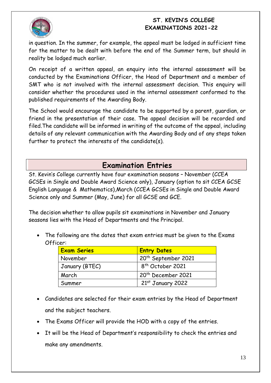

in question. In the summer, for example, the appeal must be lodged in sufficient time for the matter to be dealt with before the end of the Summer term, but should in reality be lodged much earlier.

On receipt of a written appeal, an enquiry into the internal assessment will be conducted by the Examinations Officer, the Head of Department and a member of SMT who is not involved with the internal assessment decision. This enquiry will consider whether the procedures used in the internal assessment conformed to the published requirements of the Awarding Body.

The School would encourage the candidate to be supported by a parent, guardian, or friend in the presentation of their case. The appeal decision will be recorded and filed.The candidate will be informed in writing of the outcome of the appeal, including details of any relevant communication with the Awarding Body and of any steps taken further to protect the interests of the candidate(s).

# **Examination Entries**

St. Kevin's College currently have four examination seasons – November (CCEA GCSEs in Single and Double Award Science only), January (option to sit CCEA GCSE English Language & Mathematics),March (CCEA GCSEs in Single and Double Award Science only and Summer (May, June) for all GCSE and GCE.

The decision whether to allow pupils sit examinations in November and January seasons lies with the Head of Departments and the Principal.

 The following are the dates that exam entries must be given to the Exams Officer:

| <b>Exam Series</b> | <b>Entry Dates</b>              |  |  |
|--------------------|---------------------------------|--|--|
| November           | 20 <sup>th</sup> September 2021 |  |  |
| January (BTEC)     | 8 <sup>th</sup> October 2021    |  |  |
| March              | 20 <sup>th</sup> December 2021  |  |  |
| Summer             | $21st$ January 2022             |  |  |

- Candidates are selected for their exam entries by the Head of Department and the subject teachers.
- The Exams Officer will provide the HOD with a copy of the entries.
- It will be the Head of Department's responsibility to check the entries and make any amendments.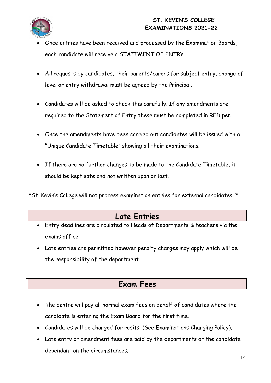

- Once entries have been received and processed by the Examination Boards, each candidate will receive a STATEMENT OF ENTRY.
- All requests by candidates, their parents/carers for subject entry, change of level or entry withdrawal must be agreed by the Principal.
- Candidates will be asked to check this carefully. If any amendments are required to the Statement of Entry these must be completed in RED pen.
- Once the amendments have been carried out candidates will be issued with a "Unique Candidate Timetable" showing all their examinations.
- If there are no further changes to be made to the Candidate Timetable, it should be kept safe and not written upon or lost.

\*St. Kevin's College will not process examination entries for external candidates. \*

# **Late Entries**

- Entry deadlines are circulated to Heads of Departments & teachers via the exams office.
- Late entries are permitted however penalty charges may apply which will be the responsibility of the department.

# **Exam Fees**

- The centre will pay all normal exam fees on behalf of candidates where the candidate is entering the Exam Board for the first time.
- Candidates will be charged for resits. (See Examinations Charging Policy).
- Late entry or amendment fees are paid by the departments or the candidate dependant on the circumstances.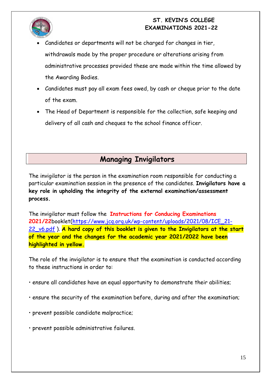

- Candidates or departments will not be charged for changes in tier, withdrawals made by the proper procedure or alterations arising from administrative processes provided these are made within the time allowed by the Awarding Bodies.
- Candidates must pay all exam fees owed, by cash or cheque prior to the date of the exam.
- The Head of Department is responsible for the collection, safe keeping and delivery of all cash and cheques to the school finance officer.

# **Managing Invigilators**

The invigilator is the person in the examination room responsible for conducting a particular examination session in the presence of the candidates. **Invigilators have a key role in upholding the integrity of the external examination/assessment process.** 

The invigilator must follow the **Instructions for Conducing Examinations 2021/22**booklet[\(https://www.jcq.org.uk/wp-content/uploads/2021/08/ICE\\_21-](https://www.jcq.org.uk/wp-content/uploads/2021/08/ICE_21-22_v6.pdf) [22\\_v6.pdf](https://www.jcq.org.uk/wp-content/uploads/2021/08/ICE_21-22_v6.pdf) ). **A hard copy of this booklet is given to the Invigilators at the start of the year and the changes for the academic year 2021/2022 have been highlighted in yellow.**

The role of the invigilator is to ensure that the examination is conducted according to these instructions in order to:

- ensure all candidates have an equal opportunity to demonstrate their abilities;
- ensure the security of the examination before, during and after the examination;
- prevent possible candidate malpractice;
- prevent possible administrative failures.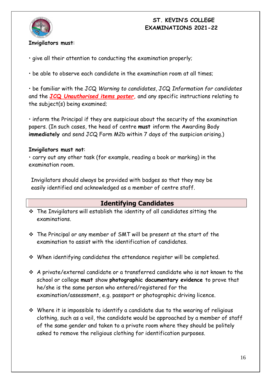

#### **Invigilators must**:

• give all their attention to conducting the examination properly;

• be able to observe each candidate in the examination room at all times;

• be familiar with the JCQ *Warning to candidates*, JCQ *Information for candidates*  and the **JCQ** *Unauthorised items poster***,** and any specific instructions relating to the subject(s) being examined;

• inform the Principal if they are suspicious about the security of the examination papers. (In such cases, the head of centre **must** inform the Awarding Body **immediately** and send JCQ Form M2b within 7 days of the suspicion arising.)

#### **Invigilators must not**:

• carry out any other task (for example, reading a book or marking) in the examination room.

Invigilators should always be provided with badges so that they may be easily identified and acknowledged as a member of centre staff.

# **Identifying Candidates**

- $\cdot$  The Invigilators will establish the identity of all candidates sitting the examinations.
- The Principal or any member of SMT will be present at the start of the examination to assist with the identification of candidates.
- When identifying candidates the attendance register will be completed.
- A private/external candidate or a transferred candidate who is not known to the school or college **must** show **photographic documentary evidence** to prove that he/she is the same person who entered/registered for the examination/assessment, e.g. passport or photographic driving licence.
- Where it is impossible to identify a candidate due to the wearing of religious clothing, such as a veil, the candidate would be approached by a member of staff of the same gender and taken to a private room where they should be politely asked to remove the religious clothing for identification purposes.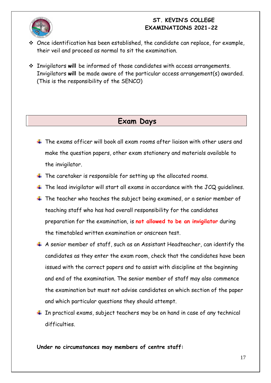- Once identification has been established, the candidate can replace, for example, their veil and proceed as normal to sit the examination.
- Invigilators **will** be informed of those candidates with access arrangements. Invigilators **will** be made aware of the particular access arrangement(s) awarded. (This is the responsibility of the SENCO)

# **Exam Days**

- $\pm$  The exams officer will book all exam rooms after liaison with other users and make the question papers, other exam stationery and materials available to the invigilator.
- $\ddotplus$  The caretaker is responsible for setting up the allocated rooms.
- $\pm$  The lead invigilator will start all exams in accordance with the JCQ guidelines.
- $\ddotplus$  The teacher who teaches the subject being examined, or a senior member of teaching staff who has had overall responsibility for the candidates preparation for the examination, is **not allowed to be an invigilator** during the timetabled written examination or onscreen test.
- $\overline{+}$  A senior member of staff, such as an Assistant Headteacher, can identify the candidates as they enter the exam room, check that the candidates have been issued with the correct papers and to assist with discipline at the beginning and end of the examination. The senior member of staff may also commence the examination but must not advise candidates on which section of the paper and which particular questions they should attempt.
- $\perp$  In practical exams, subject teachers may be on hand in case of any technical difficulties.

**Under no circumstances may members of centre staff:**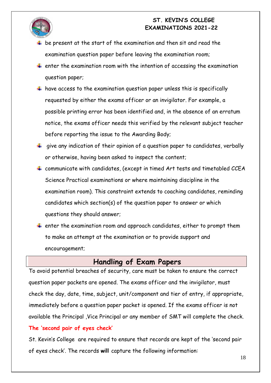



- $\ddot{+}$  be present at the start of the examination and then sit and read the examination question paper before leaving the examination room;
- $\ddot{+}$  enter the examination room with the intention of accessing the examination question paper;
- $\ddotplus$  have access to the examination question paper unless this is specifically requested by either the exams officer or an invigilator. For example, a possible printing error has been identified and, in the absence of an erratum notice, the exams officer needs this verified by the relevant subject teacher before reporting the issue to the Awarding Body;
- $\ddotplus$  give any indication of their opinion of a question paper to candidates, verbally or otherwise, having been asked to inspect the content;
- $\ddot{+}$  communicate with candidates, (except in timed Art tests and timetabled CCEA Science Practical examinations or where maintaining discipline in the examination room). This constraint extends to coaching candidates, reminding candidates which section(s) of the question paper to answer or which questions they should answer;
- $\ddotplus$  enter the examination room and approach candidates, either to prompt them to make an attempt at the examination or to provide support and encouragement;

# **Handling of Exam Papers**

To avoid potential breaches of security, care must be taken to ensure the correct question paper packets are opened. The exams officer and the invigilator, must check the day, date, time, subject, unit/component and tier of entry, if appropriate, immediately before a question paper packet is opened. If the exams officer is not available the Principal ,Vice Principal or any member of SMT will complete the check. **The 'second pair of eyes check'**

St. Kevin's College are required to ensure that records are kept of the 'second pair of eyes check'. The records **will** capture the following information: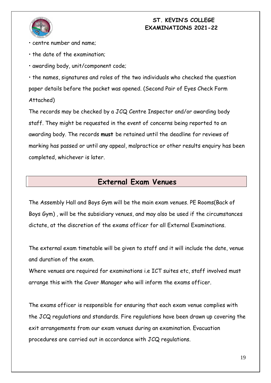

- centre number and name;
- the date of the examination;

• awarding body, unit/component code;

• the names, signatures and roles of the two individuals who checked the question paper details before the packet was opened. (Second Pair of Eyes Check Form Attached)

The records may be checked by a JCQ Centre Inspector and/or awarding body staff. They might be requested in the event of concerns being reported to an awarding body. The records **must** be retained until the deadline for reviews of marking has passed or until any appeal, malpractice or other results enquiry has been completed, whichever is later.

# **External Exam Venues**

The Assembly Hall and Boys Gym will be the main exam venues. PE Rooms(Back of Boys Gym) , will be the subsidiary venues, and may also be used if the circumstances dictate, at the discretion of the exams officer for all External Examinations.

The external exam timetable will be given to staff and it will include the date, venue and duration of the exam.

Where venues are required for examinations i.e ICT suites etc, staff involved must arrange this with the Cover Manager who will inform the exams officer.

The exams officer is responsible for ensuring that each exam venue complies with the JCQ regulations and standards. Fire regulations have been drawn up covering the exit arrangements from our exam venues during an examination. Evacuation procedures are carried out in accordance with JCQ regulations.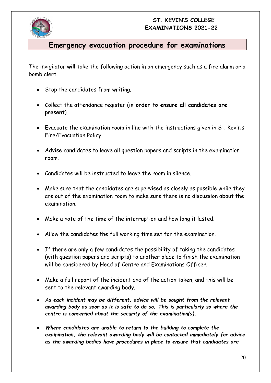

# **Emergency evacuation procedure for examinations**

The invigilator **will** take the following action in an emergency such as a fire alarm or a bomb alert.

- Stop the candidates from writing.
- Collect the attendance register (**in order to ensure all candidates are present**).
- Evacuate the examination room in line with the instructions given in St. Kevin's Fire/Evacuation Policy.
- Advise candidates to leave all question papers and scripts in the examination room.
- Candidates will be instructed to leave the room in silence.
- Make sure that the candidates are supervised as closely as possible while they are out of the examination room to make sure there is no discussion about the examination.
- Make a note of the time of the interruption and how long it lasted.
- Allow the candidates the full working time set for the examination.
- If there are only a few candidates the possibility of taking the candidates (with question papers and scripts) to another place to finish the examination will be considered by Head of Centre and Examinations Officer.
- Make a full report of the incident and of the action taken, and this will be sent to the relevant awarding body.
- *As each incident may be different, advice will be sought from the relevant awarding body as soon as it is safe to do so. This is particularly so where the centre is concerned about the security of the examination(s).*
- *Where candidates are unable to return to the building to complete the examination, the relevant awarding body will be contacted immediately for advice as the awarding bodies have procedures in place to ensure that candidates are*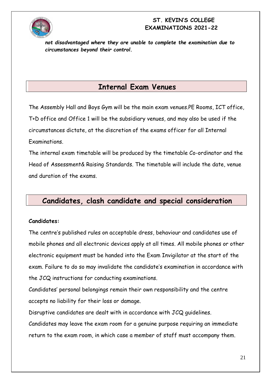

*not disadvantaged where they are unable to complete the examination due to circumstances beyond their control.*

# **Internal Exam Venues**

The Assembly Hall and Boys Gym will be the main exam venues.PE Rooms, ICT office, T+D office and Office 1 will be the subsidiary venues, and may also be used if the circumstances dictate, at the discretion of the exams officer for all Internal Examinations.

The internal exam timetable will be produced by the timetable Co-ordinator and the Head of Assessment& Raising Standards. The timetable will include the date, venue and duration of the exams.

# **Candidates, clash candidate and special consideration**

#### **Candidates:**

The centre's published rules on acceptable dress, behaviour and candidates use of mobile phones and all electronic devices apply at all times. All mobile phones or other electronic equipment must be handed into the Exam Invigilator at the start of the exam. Failure to do so may invalidate the candidate's examination in accordance with the JCQ instructions for conducting examinations.

Candidates' personal belongings remain their own responsibility and the centre accepts no liability for their loss or damage.

Disruptive candidates are dealt with in accordance with JCQ guidelines.

Candidates may leave the exam room for a genuine purpose requiring an immediate return to the exam room, in which case a member of staff must accompany them.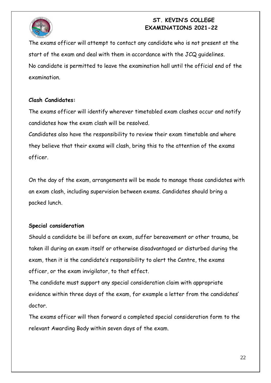

The exams officer will attempt to contact any candidate who is not present at the start of the exam and deal with them in accordance with the JCQ guidelines. No candidate is permitted to leave the examination hall until the official end of the examination.

#### **Clash Candidates:**

The exams officer will identify wherever timetabled exam clashes occur and notify candidates how the exam clash will be resolved.

Candidates also have the responsibility to review their exam timetable and where they believe that their exams will clash, bring this to the attention of the exams officer.

On the day of the exam, arrangements will be made to manage those candidates with an exam clash, including supervision between exams. Candidates should bring a packed lunch.

# **Special consideration**

Should a candidate be ill before an exam, suffer bereavement or other trauma, be taken ill during an exam itself or otherwise disadvantaged or disturbed during the exam, then it is the candidate's responsibility to alert the Centre, the exams officer, or the exam invigilator, to that effect.

The candidate must support any special consideration claim with appropriate evidence within three days of the exam, for example a letter from the candidates' doctor.

The exams officer will then forward a completed special consideration form to the relevant Awarding Body within seven days of the exam.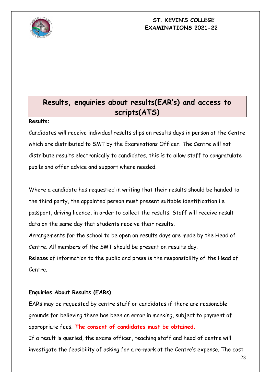

# **Results, enquiries about results(EAR's) and access to scripts(ATS)**

#### **Results:**

Candidates will receive individual results slips on results days in person at the Centre which are distributed to SMT by the Examinations Officer. The Centre will not distribute results electronically to candidates, this is to allow staff to congratulate pupils and offer advice and support where needed.

Where a candidate has requested in writing that their results should be handed to the third party, the appointed person must present suitable identification i.e passport, driving licence, in order to collect the results. Staff will receive result data on the same day that students receive their results.

Arrangements for the school to be open on results days are made by the Head of Centre. All members of the SMT should be present on results day.

Release of information to the public and press is the responsibility of the Head of Centre.

#### **Enquiries About Results (EARs)**

EARs may be requested by centre staff or candidates if there are reasonable grounds for believing there has been an error in marking, subject to payment of appropriate fees. **The consent of candidates must be obtained.** If a result is queried, the exams officer, teaching staff and head of centre will investigate the feasibility of asking for a re-mark at the Centre's expense. The cost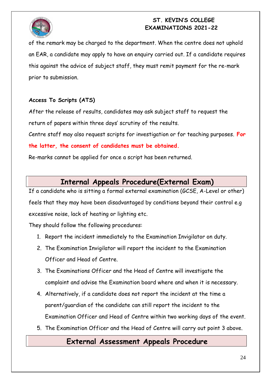

of the remark may be charged to the department. When the centre does not uphold an EAR, a candidate may apply to have an enquiry carried out. If a candidate requires this against the advice of subject staff, they must remit payment for the re-mark prior to submission.

# **Access To Scripts (ATS)**

After the release of results, candidates may ask subject staff to request the return of papers within three days' scrutiny of the results.

Centre staff may also request scripts for investigation or for teaching purposes. **For the latter, the consent of candidates must be obtained.**

Re-marks cannot be applied for once a script has been returned.

# **Internal Appeals Procedure(External Exam)**

If a candidate who is sitting a formal external examination (GCSE, A-Level or other) feels that they may have been disadvantaged by conditions beyond their control e.g excessive noise, lack of heating or lighting etc.

They should follow the following procedures:

- 1. Report the incident immediately to the Examination Invigilator on duty.
- 2. The Examination Invigilator will report the incident to the Examination Officer and Head of Centre.
- 3. The Examinations Officer and the Head of Centre will investigate the complaint and advise the Examination board where and when it is necessary.
- 4. Alternatively, if a candidate does not report the incident at the time a parent/guardian of the candidate can still report the incident to the Examination Officer and Head of Centre within two working days of the event.
- 5. The Examination Officer and the Head of Centre will carry out point 3 above.

# **External Assessment Appeals Procedure**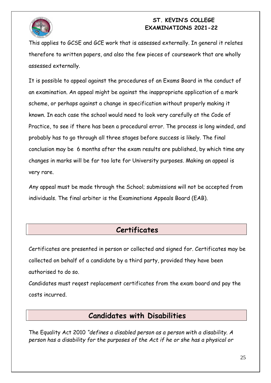

This applies to GCSE and GCE work that is assessed externally. In general it relates therefore to written papers, and also the few pieces of coursework that are wholly assessed externally.

It is possible to appeal against the procedures of an Exams Board in the conduct of an examination. An appeal might be against the inappropriate application of a mark scheme, or perhaps against a change in specification without properly making it known. In each case the school would need to look very carefully at the Code of Practice, to see if there has been a procedural error. The process is long winded, and probably has to go through all three stages before success is likely. The final conclusion may be 6 months after the exam results are published, by which time any changes in marks will be far too late for University purposes. Making an appeal is very rare.

Any appeal must be made through the School; submissions will not be accepted from individuals. The final arbiter is the Examinations Appeals Board (EAB).

# **Certificates**

Certificates are presented in person or collected and signed for. Certificates may be collected on behalf of a candidate by a third party, provided they have been authorised to do so.

Candidates must reqest replacement certificates from the exam board and pay the costs incurred.

# **Candidates with Disabilities**

The Equality Act 2010 *"defines a disabled person as a person with a disability. A person has a disability for the purposes of the Act if he or she has a physical or*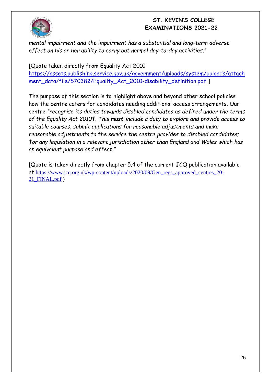

*mental impairment and the impairment has a substantial and long-term adverse effect on his or her ability to carry out normal day-to-day activities."*

[Quote taken directly from Equality Act 2010 [https://assets.publishing.service.gov.uk/government/uploads/system/uploads/attach](https://assets.publishing.service.gov.uk/government/uploads/system/uploads/attachment_data/file/570382/Equality_Act_2010-disability_definition.pdf) [ment\\_data/file/570382/Equality\\_Act\\_2010-disability\\_definition.pdf](https://assets.publishing.service.gov.uk/government/uploads/system/uploads/attachment_data/file/570382/Equality_Act_2010-disability_definition.pdf) ]

The purpose of this section is to highlight above and beyond other school policies how the centre caters for candidates needing additional access arrangements. Our centre *"recognise its duties towards disabled candidates as defined under the terms of the Equality Act 2010†. This must include a duty to explore and provide access to suitable courses, submit applications for reasonable adjustments and make reasonable adjustments to the service the centre provides to disabled candidates; †or any legislation in a relevant jurisdiction other than England and Wales which has an equivalent purpose and effect."*

[Quote is taken directly from chapter 5.4 of the current JCQ publication available at [https://www.jcq.org.uk/wp-content/uploads/2020/09/Gen\\_regs\\_approved\\_centres\\_20-](https://www.jcq.org.uk/wp-content/uploads/2020/09/Gen_regs_approved_centres_20-21_FINAL.pdf) [21\\_FINAL.pdf](https://www.jcq.org.uk/wp-content/uploads/2020/09/Gen_regs_approved_centres_20-21_FINAL.pdf) )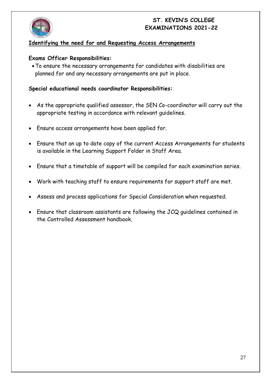

#### **Identifying the need for and Requesting Access Arrangements**

#### **Exams Officer Responsibilities:**

To ensure the necessary arrangements for candidates with disabilities are planned for and any necessary arrangements are put in place.

#### **Special educational needs coordinator Responsibilities:**

- As the appropriate qualified assessor, the SEN Co-coordinator will carry out the appropriate testing in accordance with relevant guidelines.
- Ensure access arrangements have been applied for.
- Ensure that an up to date copy of the current Access Arrangements for students is available in the Learning Support Folder in Staff Area.
- Ensure that a timetable of support will be compiled for each examination series.
- Work with teaching staff to ensure requirements for support staff are met.
- Assess and process applications for Special Consideration when requested.
- Ensure that classroom assistants are following the JCQ guidelines contained in the Controlled Assessment handbook.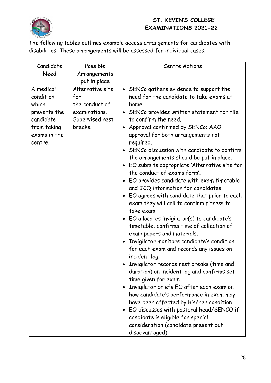

The following tables outlines example access arrangements for candidates with disabilities. These arrangements will be assessed for individual cases.

| Candidate    | Possible         | <b>Centre Actions</b>                                      |  |
|--------------|------------------|------------------------------------------------------------|--|
| Need         | Arrangements     |                                                            |  |
|              | put in place     |                                                            |  |
| A medical    | Alternative site | • SENCo gathers evidence to support the                    |  |
| condition    | for              | need for the candidate to take exams at                    |  |
| which        | the conduct of   | home.                                                      |  |
| prevents the | examinations.    | SENCo provides written statement for file<br>$\bullet$     |  |
| candidate    | Supervised rest  | to confirm the need.                                       |  |
| from taking  | breaks.          | Approval confirmed by SENCo; AAO<br>$\bullet$              |  |
| exams in the |                  | approval for both arrangements not                         |  |
| centre.      |                  | required.                                                  |  |
|              |                  | SENCo discussion with candidate to confirm                 |  |
|              |                  | the arrangements should be put in place.                   |  |
|              |                  | EO submits appropriate 'Alternative site for<br>$\bullet$  |  |
|              |                  | the conduct of exams form'.                                |  |
|              |                  | EO provides candidate with exam timetable                  |  |
|              |                  | and JCQ information for candidates.                        |  |
|              |                  | EO agrees with candidate that prior to each<br>$\bullet$   |  |
|              |                  | exam they will call to confirm fitness to                  |  |
|              |                  | take exam.                                                 |  |
|              |                  | $E_O$ allocates invigilator(s) to candidate's<br>$\bullet$ |  |
|              |                  | timetable; confirms time of collection of                  |  |
|              |                  | exam papers and materials.                                 |  |
|              |                  | Invigilator monitors candidate's condition<br>$\bullet$    |  |
|              |                  | for each exam and records any issues on                    |  |
|              |                  | incident log.                                              |  |
|              |                  | Invigilator records rest breaks (time and                  |  |
|              |                  | duration) on incident log and confirms set                 |  |
|              |                  | time given for exam.                                       |  |
|              |                  | Invigilator briefs EO after each exam on<br>$\bullet$      |  |
|              |                  | how candidate's performance in exam may                    |  |
|              |                  | have been affected by his/her condition.                   |  |
|              |                  | EO discusses with pastoral head/SENCO if<br>$\bullet$      |  |
|              |                  | candidate is eligible for special                          |  |
|              |                  | consideration (candidate present but                       |  |
|              |                  | disadvantaged).                                            |  |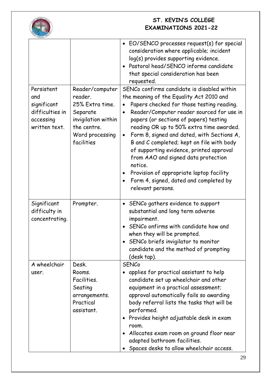

|                                                                                   |                                                                                                                                  | • EO/SENCO processes request(s) for special<br>consideration where applicable; incident<br>log(s) provides supporting evidence.<br>Pastoral head/SENCO informs candidate<br>$\bullet$<br>that special consideration has been<br>requested.                                                                                                                                                                                                                                                                                                                                                                                      |
|-----------------------------------------------------------------------------------|----------------------------------------------------------------------------------------------------------------------------------|---------------------------------------------------------------------------------------------------------------------------------------------------------------------------------------------------------------------------------------------------------------------------------------------------------------------------------------------------------------------------------------------------------------------------------------------------------------------------------------------------------------------------------------------------------------------------------------------------------------------------------|
| Persistent<br>and<br>significant<br>difficulties in<br>accessing<br>written text. | Reader/computer<br>reader.<br>25% Extra time.<br>Separate<br>invigilation within<br>the centre.<br>Word processing<br>facilities | SENCo confirms candidate is disabled within<br>the meaning of the Equality Act 2010 and<br>Papers checked for those testing reading.<br>$\bullet$<br>Reader/Computer reader sourced for use in<br>$\bullet$<br>papers (or sections of papers) testing<br>reading OR up to 50% extra time awarded.<br>Form 8, signed and dated, with Sections A,<br>$\bullet$<br>B and C completed; kept on file with body<br>of supporting evidence, printed approval<br>from AAO and signed data protection<br>notice.<br>Provision of appropriate laptop facility<br>Form 4, signed, dated and completed by<br>$\bullet$<br>relevant persons. |
| Significant<br>difficulty in<br>concentrating.                                    | Prompter.                                                                                                                        | • SENCo gathers evidence to support<br>substantial and long term adverse<br>impairment.<br>SENCo onfirms with candidate how and<br>$\bullet$<br>when they will be prompted.<br>SENCo briefs invigilator to monitor<br>candidate and the method of prompting<br>(desk tap).                                                                                                                                                                                                                                                                                                                                                      |
| A wheelchair<br>user.                                                             | Desk.<br>Rooms.<br>Facilities.<br>Seating<br>arrangements.<br>Practical<br>assistant.                                            | <b>SENCo</b><br>applies for practical assistant to help<br>$\bullet$<br>candidate set up wheelchair and other<br>equipment in a practical assessment;<br>approval automatically fails so awarding<br>body referral lists the tasks that will be<br>performed.<br>Provides height adjustable desk in exam<br>$\bullet$<br>room.<br>Allocates exam room on ground floor near<br>adapted bathroom facilities.<br>Spaces desks to allow wheelchair access.                                                                                                                                                                          |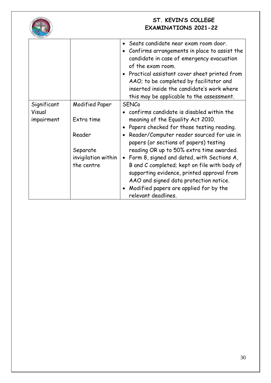

|             |                     | • Seats candidate near exam room door.<br>Confirms arrangements in place to assist the<br>candidate in case of emergency evacuation<br>of the exam room.<br>• Practical assistant cover sheet printed from<br>AAO; to be completed by facilitator and<br>inserted inside the candidate's work where<br>this may be applicable to the assessment. |  |
|-------------|---------------------|--------------------------------------------------------------------------------------------------------------------------------------------------------------------------------------------------------------------------------------------------------------------------------------------------------------------------------------------------|--|
| Significant | Modified Paper      | <b>SENCo</b>                                                                                                                                                                                                                                                                                                                                     |  |
| Visual      |                     | confirms candidate is disabled within the                                                                                                                                                                                                                                                                                                        |  |
| impairment  | Extra time          | meaning of the Equality Act 2010.                                                                                                                                                                                                                                                                                                                |  |
|             |                     | Papers checked for those testing reading.                                                                                                                                                                                                                                                                                                        |  |
|             | Reader              | Reader/Computer reader sourced for use in<br>papers (or sections of papers) testing                                                                                                                                                                                                                                                              |  |
|             | Separate            | reading OR up to 50% extra time awarded.                                                                                                                                                                                                                                                                                                         |  |
|             | invigilation within | • Form 8, signed and dated, with Sections A,                                                                                                                                                                                                                                                                                                     |  |
|             | the centre          | B and C completed; kept on file with body of<br>supporting evidence, printed approval from<br>AAO and signed data protection notice.                                                                                                                                                                                                             |  |
|             |                     | Modified papers are applied for by the<br>relevant deadlines.                                                                                                                                                                                                                                                                                    |  |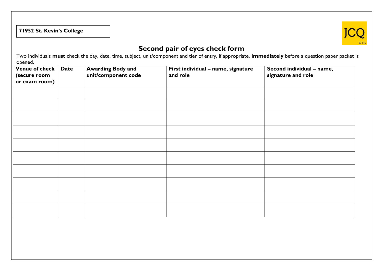# **71952 St. Kevin's College**



# **Second pair of eyes check form**

Two individuals **must** check the day, date, time, subject, unit/component and tier of entry, if appropriate, **immediately** before a question paper packet is opened.

| Venue of check   Date<br>(secure room | <b>Awarding Body and<br/>unit/component code</b> | First individual - name, signature<br>and role | Second individual - name,<br>signature and role |
|---------------------------------------|--------------------------------------------------|------------------------------------------------|-------------------------------------------------|
| or exam room)                         |                                                  |                                                |                                                 |
|                                       |                                                  |                                                |                                                 |
|                                       |                                                  |                                                |                                                 |
|                                       |                                                  |                                                |                                                 |
|                                       |                                                  |                                                |                                                 |
|                                       |                                                  |                                                |                                                 |
|                                       |                                                  |                                                |                                                 |
|                                       |                                                  |                                                |                                                 |
|                                       |                                                  |                                                |                                                 |
|                                       |                                                  |                                                |                                                 |
|                                       |                                                  |                                                |                                                 |
|                                       |                                                  |                                                |                                                 |